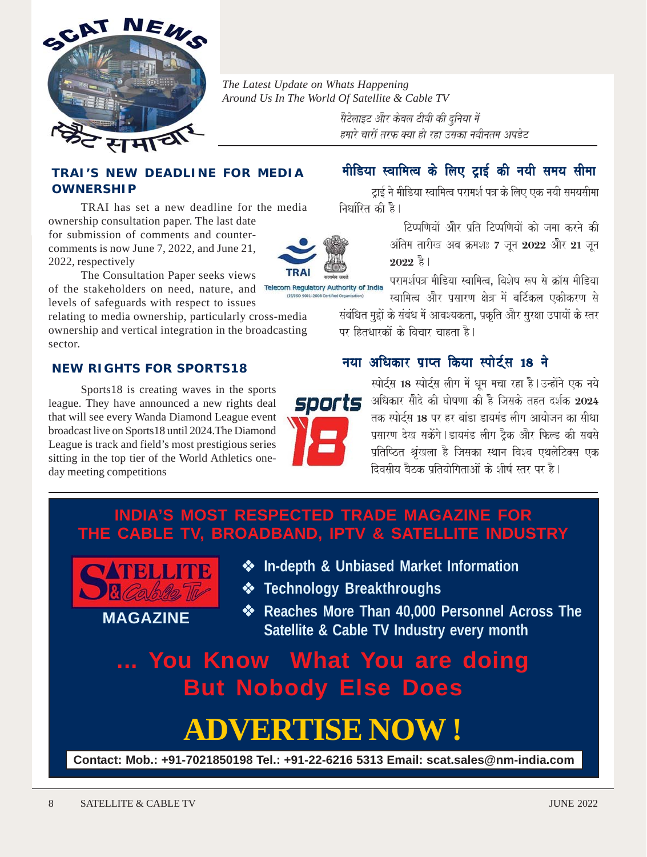

*The Latest Update on Whats Happening Around Us In The World Of Satellite & Cable TV*

> सैटेलाइट और केबल टीवी की दुनिया में हमारे चारों तरफ क्या हो रहा उसका नवीनतम अपडेट

#### **TRAI'S NEW DEADLINE FOR MEDIA OWNERSHIP**

TRAI has set a new deadline for the media ownership consultation paper. The last date for submission of comments and countercomments is now June 7, 2022, and June 21, 2022, respectively



The Consultation Paper seeks views of the stakeholders on need, nature, and Telecom Regulatory Authority of India levels of safeguards with respect to issues

relating to media ownership, particularly cross-media ownership and vertical integration in the broadcasting sector.

#### **NEW RIGHTS FOR SPORTS18**

Sports18 is creating waves in the sports league. They have announced a new rights deal that will see every Wanda Diamond League event broadcast live on Sports18 until 2024.The Diamond League is track and field's most prestigious series sitting in the top tier of the World Athletics oneday meeting competitions

# मीडिया स्वामित्व के लिए टाई की नयी समय सीमा

टाई ने मीडिया स्वामित्व परामर्श पत्र के लिए एक नयी समयसीमा निर्धारित की है।

> टिप्पणियों और पति टिप्पणियों को जमा करने की अंतिम तारीख अब क्रमशः 7 जन 2022 और 21 जन  $2022$  है।

परामर्शपत्र मीडिया स्वामित्व, विशेष रूप से क्रॉस मीडिया स्वामित्व और प्रसारण क्षेत्र में वर्टिकल एकीकरण से

संबंधित मुद्दों के संबंध में आवश्यकता, प्रकृति और सुरक्षा उपायों के स्तर पर हितधारकों के विचार चाहता है।

#### नया अधिकार प्राप्त किया स्पोर्टस 18 ने



स्पोर्टस 18 स्पोर्टस लीग में धम मचा रहा है | उन्होंने एक नये  ${\bf s}{\bf por}$ ts अधिकार सौदे की घोषणा को है जिसके तहत दर्शक 2024 तक स्पोर्टस 18 पर हर वांडा डायमंड लीग आयोजन का सीधा प्रसारण देख सकेंगे।डायमंड लीग ट्रैक और फिल्ड की सबसे प्रतिष्ठित श्रृंखला है जिसका स्थान विश्व एथलेटिक्स एक दिवसीय बैठक पतियोगिताओं के शीर्ष स्तर पर है।

# **INDIA'S MOST RESPECTED TRADE MAGAZINE FOR THE CABLE TV, BROADBAND, IPTV & SATELLITE INDUSTRY**



**MAGAZINE**

- **In-depth & Unbiased Market Information**
- **Technology Breakthroughs**
- **Reaches More Than 40,000 Personnel Across The Satellite & Cable TV Industry every month**

# **... You Know What You are doing But Nobody Else Does**

# **ADVERTISE NOW !**

**Contact: Mob.: +91-7021850198 Tel.: +91-22-6216 5313 Email: scat.sales@nm-india.com**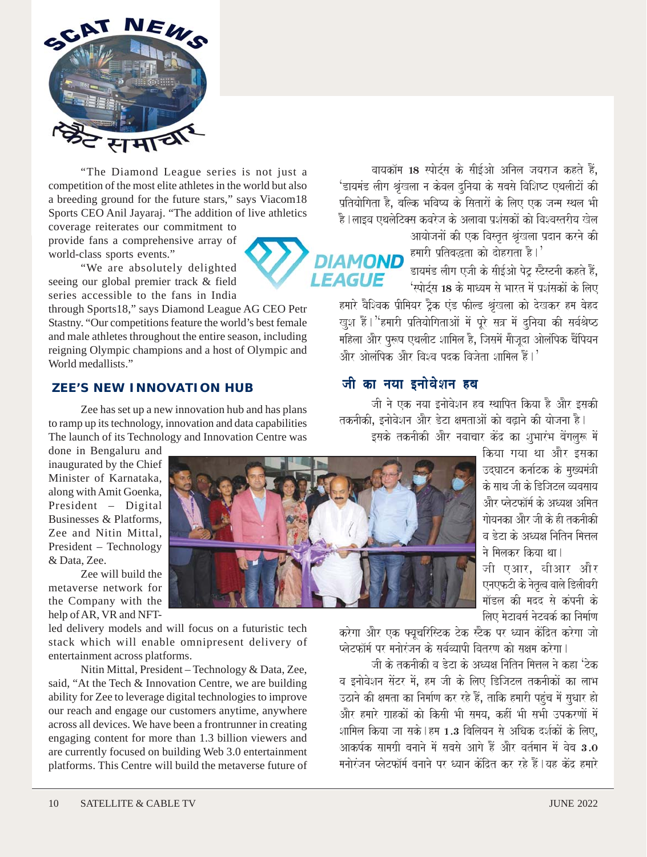

"The Diamond League series is not just a competition of the most elite athletes in the world but also a breeding ground for the future stars," says Viacom18 Sports CEO Anil Jayaraj. "The addition of live athletics coverage reiterates our commitment to

provide fans a comprehensive array of world-class sports events."

"We are absolutely delighted seeing our global premier track & field series accessible to the fans in India

through Sports18," says Diamond League AG CEO Petr Stastny. "Our competitions feature the world's best female and male athletes throughout the entire season, including reigning Olympic champions and a host of Olympic and World medallists."

#### **ZEE'S NEW INNOVATION HUB**

Zee has set up a new innovation hub and has plans to ramp up its technology, innovation and data capabilities The launch of its Technology and Innovation Centre was

done in Bengaluru and inaugurated by the Chief Minister of Karnataka, along with Amit Goenka, President – Digital Businesses & Platforms, Zee and Nitin Mittal, President – Technology & Data, Zee.

Zee will build the metaverse network for the Company with the help of AR, VR and NFT-

led delivery models and will focus on a futuristic tech stack which will enable omnipresent delivery of entertainment across platforms.

Nitin Mittal, President – Technology & Data, Zee, said, "At the Tech & Innovation Centre, we are building ability for Zee to leverage digital technologies to improve our reach and engage our customers anytime, anywhere across all devices. We have been a frontrunner in creating engaging content for more than 1.3 billion viewers and are currently focused on building Web 3.0 entertainment platforms. This Centre will build the metaverse future of

जी एआर. बीआर और .<br>एनएफटी के नेतृत्व वाले डिलीवरी <u>मॉडल की मदद से कंपनी के</u> लिए मेटावर्स नेटवर्क का निर्माण

करेगा और एक फ्यचरिस्टिक टेक स्टैक पर ध्यान केंद्रित करेगा जो <u>प्लेटफॉर्म पर मनोरंजन के सर्वव्यापी वितरण को सक्षम करेगा।</u>

जी के तकनीकी व डेटा के अध्यक्ष नितिन मित्तल ने कहा 'टेक व इनोवेशन सेंटर में. हम जी के लिए डिजिटल तकनीकों का लाभ उठाने की क्षमता का निर्माण कर रहे हैं, ताकि हमारी पहुंच में सुधार हो .<br>और हमारे ग्राहकों को किसी भी समय. कहीं भी सभी उपकरणों में शामिल किया जा सके | हम 1.3 बिलियन से अधिक दर्शकों के लिए. आकर्षक सामगी बनाने में सबसे आगे हैं और वर्तमान में वेब  $\bf{3.0}$ मनोरंजन प्लेटफॉर्म बनाने पर ध्यान केंदित कर रहे हैं |यह केंद्र हमारे

वायकॉम 18 स्पोर्टस के सीईओ अनिल जयराज कहते हैं. 'डायमंड लीग श्रृंखला न केवल दनिया के सबसे विशिष्ट एथलीटों की पतियोगिता है. बल्कि भविष्य के सितारों के लिए एक जन्म स्थल भी .<br>है।लाइव एथलेटिक्स कवरेज के अलावा प्रशंसकों को विश्वस्तरीय खेल आयोजनों की एक विस्तृत श्रृंखला प्रदान करने की

hmaarI p`itbawta kao daohrata hO.' **LEAGUE** 

डायमंड लीग एजी के सीईओ पेट स्टैस्टनी कहते हैं. 'स्पोर्टस 18 के माध्यम से भारत में प्रशंसकों के लिए

हमारे वैश्विक प्रीमियर ट्रैक एंड फील्ड श्रृंखला को देखकर हम बेहद खश हैं। ''हमारी प्रतियोगिताओं में पूरे सत्र में दनिया की सर्वश्रेष्ठ maihlaa AaOr pu\$Ya eqalaIT Saaimala hO¸ ijasamaoM maaOjaUda AaolaMipk caOMipyana और ओलंपिक और विश्व पटक विजेता शामिल हैं। $^{\prime}$ 

## जी का नया इनोवेशन हब

जी ने एक नया इनोवेशन हब स्थापित किया है और इसकी तकनीकी, इनोवेशन और डेटा क्षमताओं को बढाने की योजना है।

इसके तकनीकी और नवाचार केंद्र का शुभारंभ बेंगलुरू में

किया गया था और इसका उदघाटन कर्नाटक के मख्यमंत्री के साथ जी के डिजिटल व्यवसाय और प्लेटफॉर्म के अध्यक्ष अमित <u>गोयनका और जी के ही तकनीकी</u> <u>व डेटा के अध्यक्ष नितिन मित्तल</u> ने मिलकर किया था।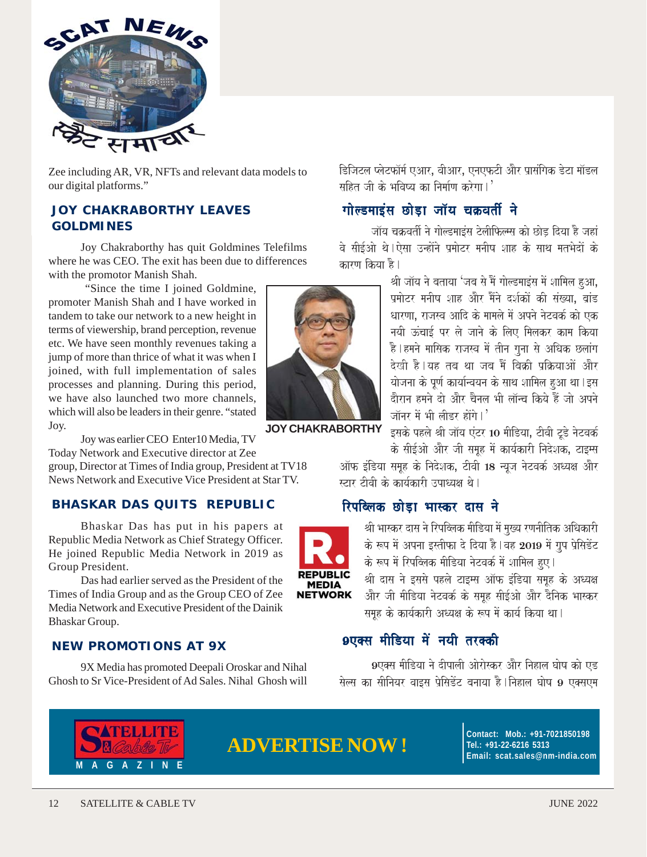

Zee including AR, VR, NFTs and relevant data models to our digital platforms."

#### **JOY CHAKRABORTHY LEAVES GOLDMINES**

Joy Chakraborthy has quit Goldmines Telefilms where he was CEO. The exit has been due to differences with the promotor Manish Shah.

 "Since the time I joined Goldmine, promoter Manish Shah and I have worked in tandem to take our network to a new height in terms of viewership, brand perception, revenue etc. We have seen monthly revenues taking a jump of more than thrice of what it was when I joined, with full implementation of sales processes and planning. During this period, we have also launched two more channels, which will also be leaders in their genre. "stated Joy.

Joy was earlier CEO Enter10 Media, TV Today Network and Executive director at Zee

group, Director at Times of India group, President at TV18 News Network and Executive Vice President at Star TV.

#### **BHASKAR DAS QUITS REPUBLIC**

Bhaskar Das has put in his papers at Republic Media Network as Chief Strategy Officer. He joined Republic Media Network in 2019 as Group President.

Das had earlier served as the President of the Times of India Group and as the Group CEO of Zee Media Network and Executive President of the Dainik Bhaskar Group.

#### **NEW PROMOTIONS AT 9X**

9X Media has promoted Deepali Oroskar and Nihal Ghosh to Sr Vice-President of Ad Sales. Nihal Ghosh will



**JOY CHAKRABORTHY**

डिजिटल प्लेटफॉर्म एआर, वीआर, एनएफटी और प्रासंगिक डेटा मॉडल  $\pi$ हित जी के भविष्य का निर्माण करेगा।'

### गोल्डमाइंस छोड़ा जॉय चक्रवर्ती ने

जॉय चक्रवर्ती ने गोल्डमाइंस टेलीफिल्म्स को छोड दिया है जहां वे सीईओ थे।ऐसा उन्होंने प्रमोटर मनीष शाह के साथ मतभेदों के कारण किया है।

> श्री जॉय ने बताया 'जब से मैं गोल्डमाइंस में शामिल हुआ, प्रमोटर मनीष शाह और मैंने दर्शकों की संख्या. बांड धारणा. राजस्व आदि के मामले में अपने नेटवर्क को एक नयी ऊंचाई पर ले जाने के लिए मिलकर काम किया है।हमने मासिक राजस्व में तीन गुना से अधिक छलांग देखी है।यह तब था जब मैं बिकी पकियाओं और योजना के पूर्ण कार्यान्वयन के साथ शामिल हुआ था। इस दौरान हमने दो और चैनल भी लॉन्च किये हैं जो अपने जॉनर में भी लीइर होंगे। $^{\prime}$

> इसके पहले श्री जॉय एंटर 10 मीडिया, टीवी टूडे नेटवर्क के सीईओ और जी समह में कार्यकारी निदेशक, टाइम्स

ऑफ इंडिया समूह के निदेशक, टीवी 18 न्यूज नेटवर्क अध्यक्ष और स्टार टीवी के कार्यकारी उपाध्यक्ष थे।

#### रिपब्लिक छोड़ा भास्कर दास ने



श्री भास्कर दास ने रिपब्लिक मीडिया में मख्य रणनीतिक अधिकारी के रूप में अपना इस्तीफा दे दिया है।वह 2019 में ग्रप प्रेसिडेंट के रूप में रिपब्लिक मीडिया नेटवर्क में शामिल हुए।

श्री दास ने इससे पहले टाइम्स ऑफ इंडिया समूह के अध्यक्ष और जी मीडिया नेटवर्क के समूह सीईओ और दैनिक भास्कर समूह के कार्यकारी अध्यक्ष के रूप में कार्य किया था।

# 9एक्स मीडिया में नयी तरक्की

9एक्स मीडिया ने दीपाली ओरोस्कर और निहाल घोष को एड सेल्स का सीनियर वाइस प्रेसिडेंट बनाया है |निहाल घोष 9 एक्सएम



# **ADVERTISE NOW !**

**Contact: Mob.: +91-7021850198 Tel.: +91-22-6216 5313 Email: scat.sales@nm-india.com**